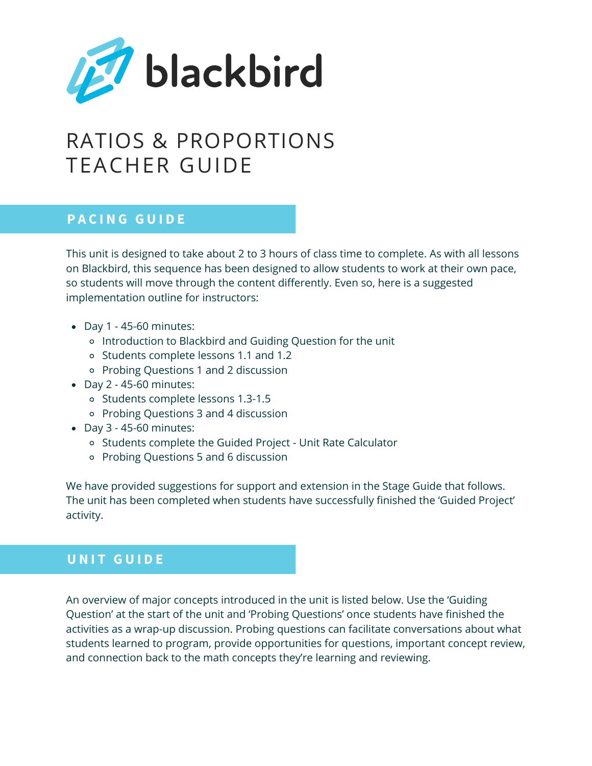

# RATIOS & PROPORTIONS TEACHER GUIDE

## **P A C I N G G U I D E**

This unit is designed to take about 2 to 3 hours of class time to complete. As with all lessons on Blackbird, this sequence has been designed to allow students to work at their own pace, so students will move through the content differently. Even so, here is a suggested implementation outline for instructors:

- Day 1 45-60 minutes:
	- o Introduction to Blackbird and Guiding Question for the unit
	- Students complete lessons 1.1 and 1.2
	- Probing Questions 1 and 2 discussion
- $\bullet$  Day 2 45-60 minutes:
	- o Students complete lessons 1.3-1.5
	- Probing Questions 3 and 4 discussion
- Day 3 45-60 minutes:
	- Students complete the Guided Project Unit Rate Calculator
	- Probing Questions 5 and 6 discussion

We have provided suggestions for support and extension in the Stage Guide that follows. The unit has been completed when students have successfully finished the 'Guided Project' activity.

## **U N I T G U I D E**

An overview of major concepts introduced in the unit is listed below. Use the 'Guiding Question' at the start of the unit and 'Probing Questions' once students have finished the activities as a wrap-up discussion. Probing questions can facilitate conversations about what students learned to program, provide opportunities for questions, important concept review, and connection back to the math concepts they're learning and reviewing.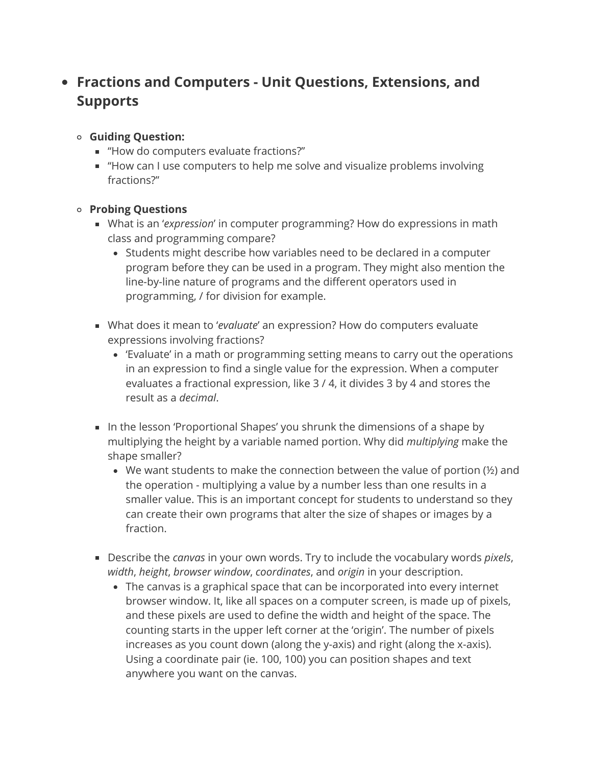# **Fractions and Computers - Unit Questions, Extensions, and Supports**

- **Guiding Question:**
	- "How do computers evaluate fractions?"
	- "How can I use computers to help me solve and visualize problems involving fractions?"

#### **Probing Questions**

- What is an '*expression*' in computer programming? How do expressions in math class and programming compare?
	- Students might describe how variables need to be declared in a computer program before they can be used in a program. They might also mention the line-by-line nature of programs and the different operators used in programming, / for division for example.
- What does it mean to '*evaluate*' an expression? How do computers evaluate expressions involving fractions?
	- 'Evaluate' in a math or programming setting means to carry out the operations in an expression to find a single value for the expression. When a computer evaluates a fractional expression, like 3 / 4, it divides 3 by 4 and stores the result as a *decimal*.
- In the lesson 'Proportional Shapes' you shrunk the dimensions of a shape by multiplying the height by a variable named portion. Why did *multiplying* make the shape smaller?
	- We want students to make the connection between the value of portion (½) and the operation - multiplying a value by a number less than one results in a smaller value. This is an important concept for students to understand so they can create their own programs that alter the size of shapes or images by a fraction.
- Describe the *canvas* in your own words. Try to include the vocabulary words *pixels*, *width*, *height*, *browser window*, *coordinates*, and *origin* in your description.
	- The canvas is a graphical space that can be incorporated into every internet browser window. It, like all spaces on a computer screen, is made up of pixels, and these pixels are used to define the width and height of the space. The counting starts in the upper left corner at the 'origin'. The number of pixels increases as you count down (along the y-axis) and right (along the x-axis). Using a coordinate pair (ie. 100, 100) you can position shapes and text anywhere you want on the canvas.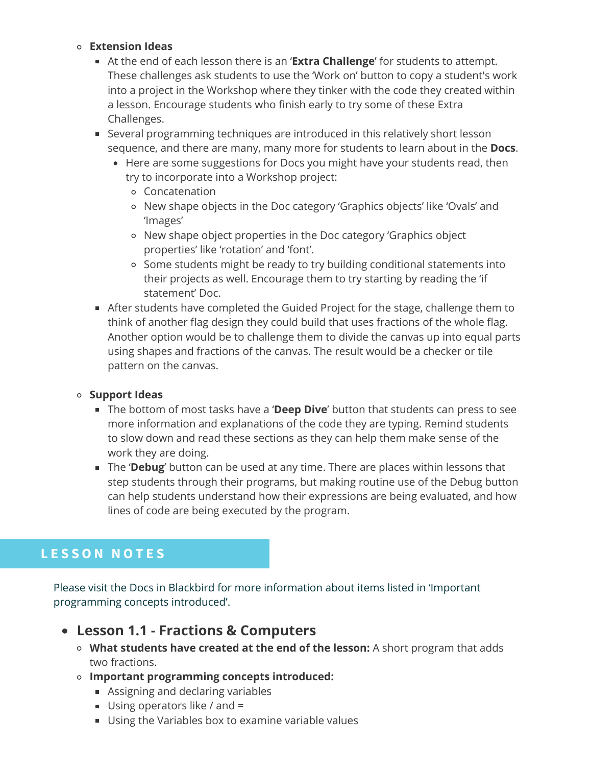#### **Extension Ideas**

- At the end of each lesson there is an '**Extra Challenge**' for students to attempt. These challenges ask students to use the 'Work on' button to copy a student's work into a project in the Workshop where they tinker with the code they created within a lesson. Encourage students who finish early to try some of these Extra Challenges.
- Several programming techniques are introduced in this relatively short lesson sequence, and there are many, many more for students to learn about in the **Docs**.
	- Here are some suggestions for Docs you might have your students read, then try to incorporate into a Workshop project:
		- Concatenation
		- New shape objects in the Doc category 'Graphics objects' like 'Ovals' and 'Images'
		- New shape object properties in the Doc category 'Graphics object properties' like 'rotation' and 'font'.
		- Some students might be ready to try building conditional statements into their projects as well. Encourage them to try starting by reading the 'if statement' Doc.
- After students have completed the Guided Project for the stage, challenge them to think of another flag design they could build that uses fractions of the whole flag. Another option would be to challenge them to divide the canvas up into equal parts using shapes and fractions of the canvas. The result would be a checker or tile pattern on the canvas.

#### **Support Ideas**

- The bottom of most tasks have a '**Deep Dive**' button that students can press to see more information and explanations of the code they are typing. Remind students to slow down and read these sections as they can help them make sense of the work they are doing.
- The '**Debug**' button can be used at any time. There are places within lessons that step students through their programs, but making routine use of the Debug button can help students understand how their expressions are being evaluated, and how lines of code are being executed by the program.

# **L E S S O N N O T E S**

Please visit the Docs in Blackbird for more information about items listed in 'Important programming concepts introduced'.

- **Lesson 1.1 - Fractions & Computers**
	- **What students have created at the end of the lesson:** A short program that adds two fractions.
	- **Important programming concepts introduced:**
		- Assigning and declaring variables
		- Using operators like / and =
		- Using the Variables box to examine variable values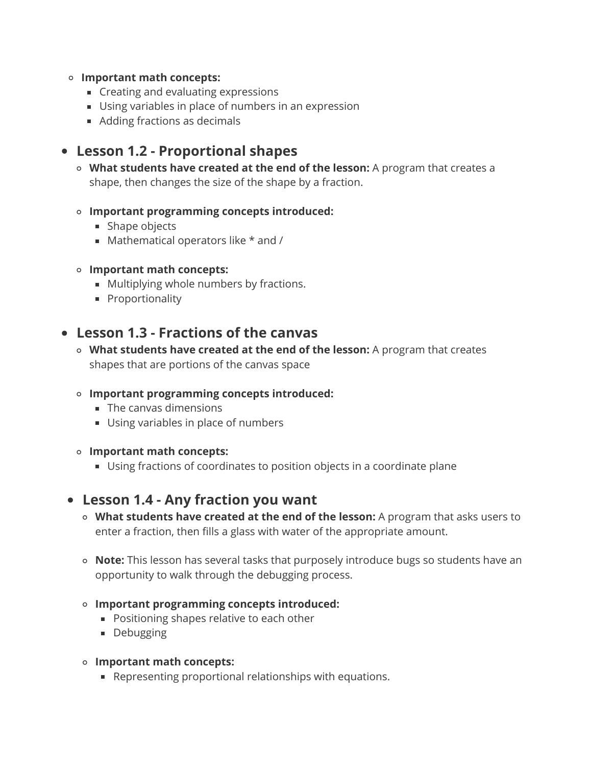#### **Important math concepts:**

- **Creating and evaluating expressions**
- Using variables in place of numbers in an expression
- Adding fractions as decimals

## **Lesson 1.2 - Proportional shapes**

**What students have created at the end of the lesson:** A program that creates a shape, then changes the size of the shape by a fraction.

### **Important programming concepts introduced:**

- **Shape objects**
- $\blacksquare$  Mathematical operators like  $*$  and /

### **Important math concepts:**

- **Multiplying whole numbers by fractions.**
- **Proportionality**

## **Lesson 1.3 - Fractions of the canvas**

- **What students have created at the end of the lesson:** A program that creates shapes that are portions of the canvas space
- **Important programming concepts introduced:**
	- **The canvas dimensions**
	- Using variables in place of numbers
- **Important math concepts:**
	- Using fractions of coordinates to position objects in a coordinate plane

## **Lesson 1.4 - Any fraction you want**

- **What students have created at the end of the lesson:** A program that asks users to enter a fraction, then fills a glass with water of the appropriate amount.
- **Note:** This lesson has several tasks that purposely introduce bugs so students have an opportunity to walk through the debugging process.
- **Important programming concepts introduced:**
	- **Positioning shapes relative to each other**
	- **Debugging**
- **Important math concepts:**
	- Representing proportional relationships with equations.